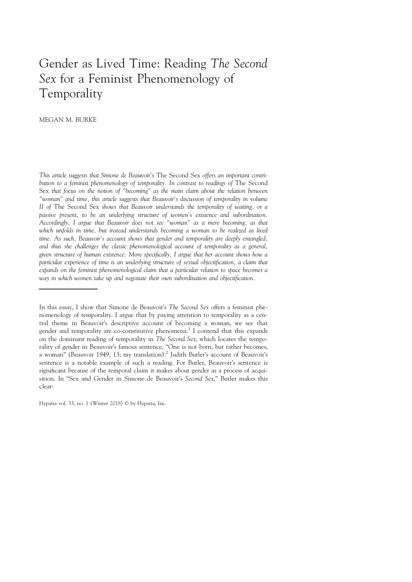# Gender as Lived Time: Reading The Second Sex for a Feminist Phenomenology of Temporality

MEGAN M. BURKE

This article suggests that Simone de Beauvoir's The Second Sex offers an important contribution to a feminist phenomenology of temporality. In contrast to readings of The Second Sex that focus on the notion of "becoming" as the main claim about the relation between "woman" and time, this article suggests that Beauvoir's discussion of temporality in volume II of The Second Sex shows that Beauvoir understands the temporality of waiting, or a passive present, to be an underlying structure of women's existence and subordination. Accordingly, I argue that Beauvoir does not see "woman" as a mere becoming, as that which unfolds in time, but instead understands becoming a woman to be realized as lived time. As such, Beauvoir's account shows that gender and temporality are deeply entangled, and thus she challenges the classic phenomenological account of temporality as a general, given structure of human existence. More specifically, I argue that her account shows how a particular experience of time is an underlying structure of sexual objectification, a claim that expands on the feminist phenomenological claim that a particular relation to space becomes a way in which women take up and negotiate their own subordination and objectification.

Hypatia vol. 33, no. 1 (Winter 2018) © by Hypatia, Inc.

In this essay, I show that Simone de Beauvoir's The Second Sex offers a feminist phenomenology of temporality. I argue that by paying attention to temporality as a central theme in Beauvoir's descriptive account of becoming a woman, we see that gender and temporality are co-constitutive phenomena.<sup>1</sup> I contend that this expands on the dominant reading of temporality in The Second Sex, which locates the temporality of gender in Beauvoir's famous sentence, "One is not born, but rather becomes, a woman" (Beauvoir 1949, 13; my translation).<sup>2</sup> Judith Butler's account of Beauvoir's sentence is a notable example of such a reading. For Butler, Beauvoir's sentence is significant because of the temporal claim it makes about gender as a process of acquisition. In "Sex and Gender in Simone de Beauvoir's Second Sex," Butler makes this clear: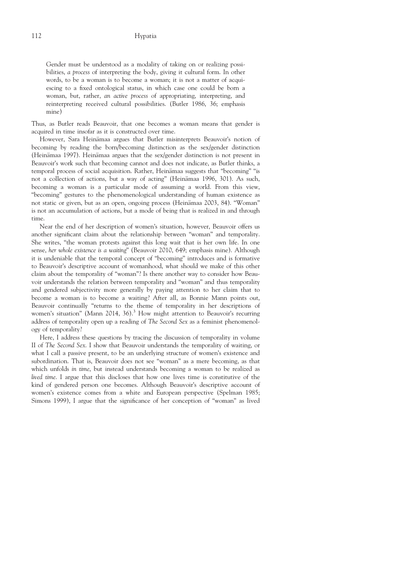Gender must be understood as a modality of taking on or realizing possibilities, a process of interpreting the body, giving it cultural form. In other words, to be a woman is to become a woman; it is not a matter of acquiescing to a fixed ontological status, in which case one could be born a woman, but, rather, an active process of appropriating, interpreting, and reinterpreting received cultural possibilities. (Butler 1986, 36; emphasis mine)

Thus, as Butler reads Beauvoir, that one becomes a woman means that gender is acquired in time insofar as it is constructed over time.

However, Sara Heinämaa argues that Butler misinterprets Beauvoir's notion of becoming by reading the born/becoming distinction as the sex/gender distinction (Heinämaa 1997). Heinämaa argues that the sex/gender distinction is not present in Beauvoir's work such that becoming cannot and does not indicate, as Butler thinks, a temporal process of social acquisition. Rather, Heinämaa suggests that "becoming" "is not a collection of actions, but a way of acting" (Heinämaa 1996, 301). As such, becoming a woman is a particular mode of assuming a world. From this view, "becoming" gestures to the phenomenological understanding of human existence as not static or given, but as an open, ongoing process (Heinämaa 2003, 84). "Woman" is not an accumulation of actions, but a mode of being that is realized in and through time.

Near the end of her description of women's situation, however, Beauvoir offers us another significant claim about the relationship between "woman" and temporality. She writes, "the woman protests against this long wait that is her own life. In one sense, her whole existence is a waiting" (Beauvoir 2010, 649; emphasis mine). Although it is undeniable that the temporal concept of "becoming" introduces and is formative to Beauvoir's descriptive account of womanhood, what should we make of this other claim about the temporality of "woman"? Is there another way to consider how Beauvoir understands the relation between temporality and "woman" and thus temporality and gendered subjectivity more generally by paying attention to her claim that to become a woman is to become a waiting? After all, as Bonnie Mann points out, Beauvoir continually "returns to the theme of temporality in her descriptions of women's situation" (Mann 2014, 36).<sup>3</sup> How might attention to Beauvoir's recurring address of temporality open up a reading of The Second Sex as a feminist phenomenology of temporality?

Here, I address these questions by tracing the discussion of temporality in volume II of The Second Sex. I show that Beauvoir understands the temporality of waiting, or what I call a passive present, to be an underlying structure of women's existence and subordination. That is, Beauvoir does not see "woman" as a mere becoming, as that which unfolds in time, but instead understands becoming a woman to be realized as lived time. I argue that this discloses that how one lives time is constitutive of the kind of gendered person one becomes. Although Beauvoir's descriptive account of women's existence comes from a white and European perspective (Spelman 1985; Simons 1999), I argue that the significance of her conception of "woman" as lived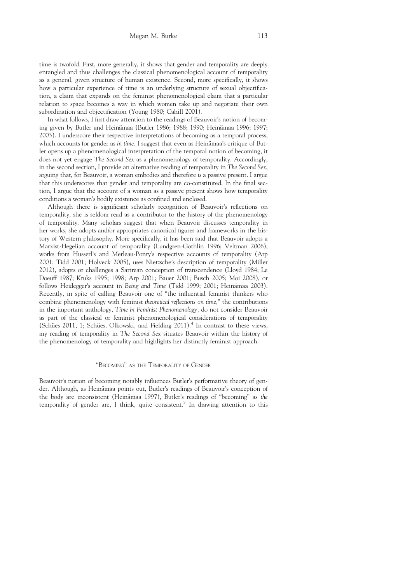time is twofold. First, more generally, it shows that gender and temporality are deeply entangled and thus challenges the classical phenomenological account of temporality as a general, given structure of human existence. Second, more specifically, it shows how a particular experience of time is an underlying structure of sexual objectification, a claim that expands on the feminist phenomenological claim that a particular relation to space becomes a way in which women take up and negotiate their own subordination and objectification (Young 1980; Cahill 2001).

In what follows, I first draw attention to the readings of Beauvoir's notion of becoming given by Butler and Heinämaa (Butler 1986; 1988; 1990; Heinämaa 1996; 1997; 2003). I underscore their respective interpretations of becoming as a temporal process, which accounts for gender as in time. I suggest that even as Heinämaa's critique of Butler opens up a phenomenological interpretation of the temporal notion of becoming, it does not yet engage The Second Sex as a phenomenology of temporality. Accordingly, in the second section, I provide an alternative reading of temporality in The Second Sex, arguing that, for Beauvoir, a woman embodies and therefore is a passive present. I argue that this underscores that gender and temporality are co-constituted. In the final section, I argue that the account of a woman as a passive present shows how temporality conditions a woman's bodily existence as confined and enclosed.

Although there is significant scholarly recognition of Beauvoir's reflections on temporality, she is seldom read as a contributor to the history of the phenomenology of temporality. Many scholars suggest that when Beauvoir discusses temporality in her works, she adopts and/or appropriates canonical figures and frameworks in the history of Western philosophy. More specifically, it has been said that Beauvoir adopts a Marxist-Hegelian account of temporality (Lundgren-Gothlin 1996; Veltman 2006), works from Husserl's and Merleau-Ponty's respective accounts of temporality (Arp 2001; Tidd 2001; Holveck 2005), uses Nietzsche's description of temporality (Miller 2012), adopts or challenges a Sartrean conception of transcendence (Lloyd 1984; Le Doeuff 1987; Kruks 1995; 1998; Arp 2001; Bauer 2001; Busch 2005; Moi 2008), or follows Heidegger's account in Being and Time (Tidd 1999; 2001; Heinämaa 2003). Recently, in spite of calling Beauvoir one of "the influential feminist thinkers who combine phenomenology with feminist theoretical reflections on time," the contributions in the important anthology, Time in Feminist Phenomenology, do not consider Beauvoir as part of the classical or feminist phenomenological considerations of temporality (Schües 2011, 1; Schües, Olkowski, and Fielding  $2011$ ).<sup>4</sup> In contrast to these views, my reading of temporality in The Second Sex situates Beauvoir within the history of the phenomenology of temporality and highlights her distinctly feminist approach.

# "BECOMING" AS THE TEMPORALITY OF GENDER

Beauvoir's notion of becoming notably influences Butler's performative theory of gender. Although, as Heinämaa points out, Butler's readings of Beauvoir's conception of the body are inconsistent (Heinämaa 1997), Butler's readings of "becoming" as the temporality of gender are, I think, quite consistent.<sup>5</sup> In drawing attention to this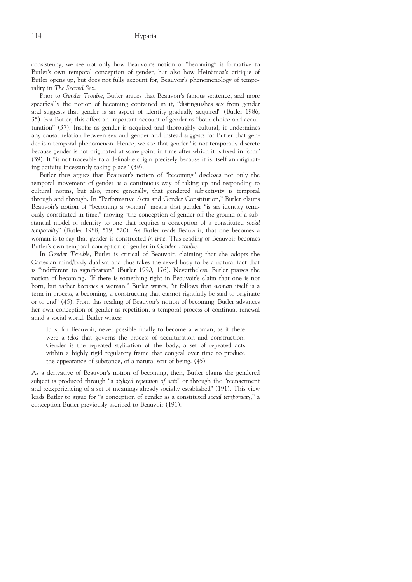consistency, we see not only how Beauvoir's notion of "becoming" is formative to Butler's own temporal conception of gender, but also how Heinämaa's critique of Butler opens up, but does not fully account for, Beauvoir's phenomenology of temporality in The Second Sex.

Prior to Gender Trouble, Butler argues that Beauvoir's famous sentence, and more specifically the notion of becoming contained in it, "distinguishes sex from gender and suggests that gender is an aspect of identity gradually acquired" (Butler 1986, 35). For Butler, this offers an important account of gender as "both choice and acculturation" (37). Insofar as gender is acquired and thoroughly cultural, it undermines any causal relation between sex and gender and instead suggests for Butler that gender is a temporal phenomenon. Hence, we see that gender "is not temporally discrete because gender is not originated at some point in time after which it is fixed in form" (39). It "is not traceable to a definable origin precisely because it is itself an originating activity incessantly taking place" (39).

Butler thus argues that Beauvoir's notion of "becoming" discloses not only the temporal movement of gender as a continuous way of taking up and responding to cultural norms, but also, more generally, that gendered subjectivity is temporal through and through. In "Performative Acts and Gender Constitution," Butler claims Beauvoir's notion of "becoming a woman" means that gender "is an identity tenuously constituted in time," moving "the conception of gender off the ground of a substantial model of identity to one that requires a conception of a constituted social temporality" (Butler 1988, 519, 520). As Butler reads Beauvoir, that one becomes a woman is to say that gender is constructed in time. This reading of Beauvoir becomes Butler's own temporal conception of gender in Gender Trouble.

In Gender Trouble, Butler is critical of Beauvoir, claiming that she adopts the Cartesian mind/body dualism and thus takes the sexed body to be a natural fact that is "indifferent to signification" (Butler 1990, 176). Nevertheless, Butler praises the notion of becoming. "If there is something right in Beauvoir's claim that one is not born, but rather becomes a woman," Butler writes, "it follows that woman itself is a term in process, a becoming, a constructing that cannot rightfully be said to originate or to end" (45). From this reading of Beauvoir's notion of becoming, Butler advances her own conception of gender as repetition, a temporal process of continual renewal amid a social world. Butler writes:

It is, for Beauvoir, never possible finally to become a woman, as if there were a telos that governs the process of acculturation and construction. Gender is the repeated stylization of the body, a set of repeated acts within a highly rigid regulatory frame that congeal over time to produce the appearance of substance, of a natural sort of being. (45)

As a derivative of Beauvoir's notion of becoming, then, Butler claims the gendered subject is produced through "a stylized repetition of acts" or through the "reenactment and reexperiencing of a set of meanings already socially established" (191). This view leads Butler to argue for "a conception of gender as a constituted social temporality," a conception Butler previously ascribed to Beauvoir (191).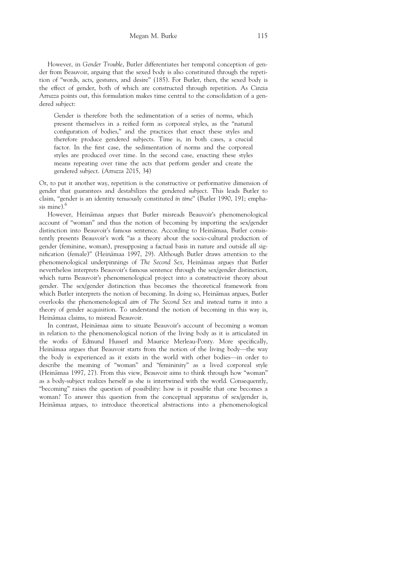However, in Gender Trouble, Butler differentiates her temporal conception of gender from Beauvoir, arguing that the sexed body is also constituted through the repetition of "words, acts, gestures, and desire" (185). For Butler, then, the sexed body is the effect of gender, both of which are constructed through repetition. As Cinzia Arruzza points out, this formulation makes time central to the consolidation of a gendered subject:

Gender is therefore both the sedimentation of a series of norms, which present themselves in a reified form as corporeal styles, as the "natural configuration of bodies," and the practices that enact these styles and therefore produce gendered subjects. Time is, in both cases, a crucial factor. In the first case, the sedimentation of norms and the corporeal styles are produced over time. In the second case, enacting these styles means repeating over time the acts that perform gender and create the gendered subject. (Arruzza 2015, 34)

Or, to put it another way, repetition is the constructive or performative dimension of gender that guarantees and destabilizes the gendered subject. This leads Butler to claim, "gender is an identity tenuously constituted in time" (Butler 1990, 191; emphasis mine).<sup>6</sup>

However, Heinämaa argues that Butler misreads Beauvoir's phenomenological account of "woman" and thus the notion of becoming by importing the sex/gender distinction into Beauvoir's famous sentence. According to Heinämaa, Butler consistently presents Beauvoir's work "as a theory about the socio-cultural production of gender (feminine, woman), presupposing a factual basis in nature and outside all signification (female)" (Heinämaa 1997, 29). Although Butler draws attention to the phenomenological underpinnings of The Second Sex, Heinämaa argues that Butler nevertheless interprets Beauvoir's famous sentence through the sex/gender distinction, which turns Beauvoir's phenomenological project into a constructivist theory about gender. The sex/gender distinction thus becomes the theoretical framework from which Butler interprets the notion of becoming. In doing so, Heinämaa argues, Butler overlooks the phenomenological aim of The Second Sex and instead turns it into a theory of gender acquisition. To understand the notion of becoming in this way is, Heinämaa claims, to misread Beauvoir.

In contrast, Heinämaa aims to situate Beauvoir's account of becoming a woman in relation to the phenomenological notion of the living body as it is articulated in the works of Edmund Husserl and Maurice Merleau-Ponty. More specifically, Heinämaa argues that Beauvoir starts from the notion of the living body—the way the body is experienced as it exists in the world with other bodies—in order to describe the meaning of "woman" and "femininity" as a lived corporeal style (Heinämaa 1997, 27). From this view, Beauvoir aims to think through how "woman" as a body-subject realizes herself as she is intertwined with the world. Consequently, "becoming" raises the question of possibility: how is it possible that one becomes a woman? To answer this question from the conceptual apparatus of sex/gender is, Heinämaa argues, to introduce theoretical abstractions into a phenomenological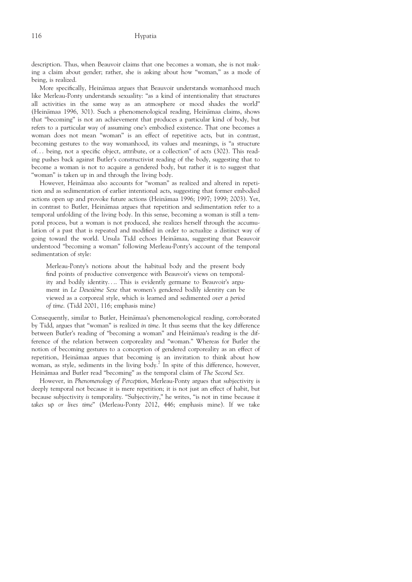description. Thus, when Beauvoir claims that one becomes a woman, she is not making a claim about gender; rather, she is asking about how "woman," as a mode of being, is realized.

More specifically, Heinämaa argues that Beauvoir understands womanhood much like Merleau-Ponty understands sexuality: "as a kind of intentionality that structures all activities in the same way as an atmosphere or mood shades the world" (Heinämaa 1996, 301). Such a phenomenological reading, Heinämaa claims, shows that "becoming" is not an achievement that produces a particular kind of body, but refers to a particular way of assuming one's embodied existence. That one becomes a woman does not mean "woman" is an effect of repetitive acts, but in contrast, becoming gestures to the way womanhood, its values and meanings, is "a structure of... being, not a specific object, attribute, or a collection" of acts (302). This reading pushes back against Butler's constructivist reading of the body, suggesting that to become a woman is not to acquire a gendered body, but rather it is to suggest that "woman" is taken up in and through the living body.

However, Heinämaa also accounts for "woman" as realized and altered in repetition and as sedimentation of earlier intentional acts, suggesting that former embodied actions open up and provoke future actions (Heinämaa 1996; 1997; 1999; 2003). Yet, in contrast to Butler, Heinämaa argues that repetition and sedimentation refer to a temporal unfolding of the living body. In this sense, becoming a woman is still a temporal process, but a woman is not produced, she realizes herself through the accumulation of a past that is repeated and modified in order to actualize a distinct way of going toward the world. Ursula Tidd echoes Heinämaa, suggesting that Beauvoir understood "becoming a woman" following Merleau-Ponty's account of the temporal sedimentation of style:

Merleau-Ponty's notions about the habitual body and the present body find points of productive convergence with Beauvoir's views on temporality and bodily identity.... This is evidently germane to Beauvoir's argument in Le Deuxième Sexe that women's gendered bodily identity can be viewed as a corporeal style, which is learned and sedimented over a period of time. (Tidd 2001, 116; emphasis mine)

Consequently, similar to Butler, Heinämaa's phenomenological reading, corroborated by Tidd, argues that "woman" is realized in time. It thus seems that the key difference between Butler's reading of "becoming a woman" and Heinämaa's reading is the difference of the relation between corporeality and "woman." Whereas for Butler the notion of becoming gestures to a conception of gendered corporeality as an effect of repetition, Heinämaa argues that becoming is an invitation to think about how woman, as style, sediments in the living body.<sup>7</sup> In spite of this difference, however, Heinämaa and Butler read "becoming" as the temporal claim of The Second Sex.

However, in Phenomenology of Perception, Merleau-Ponty argues that subjectivity is deeply temporal not because it is mere repetition; it is not just an effect of habit, but because subjectivity is temporality. "Subjectivity," he writes, "is not in time because it takes up or lives time" (Merleau-Ponty 2012, 446; emphasis mine). If we take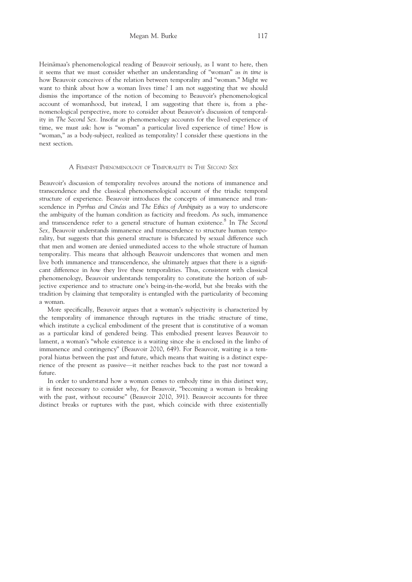Heinämaa's phenomenological reading of Beauvoir seriously, as I want to here, then it seems that we must consider whether an understanding of "woman" as in time is how Beauvoir conceives of the relation between temporality and "woman." Might we want to think about how a woman lives time? I am not suggesting that we should dismiss the importance of the notion of becoming to Beauvoir's phenomenological account of womanhood, but instead, I am suggesting that there is, from a phenomenological perspective, more to consider about Beauvoir's discussion of temporality in The Second Sex. Insofar as phenomenology accounts for the lived experience of time, we must ask: how is "woman" a particular lived experience of time? How is "woman," as a body-subject, realized as temporality? I consider these questions in the next section.

#### A FEMINIST PHENOMENOLOGY OF TEMPORALITY IN THE SECOND SEX

Beauvoir's discussion of temporality revolves around the notions of immanence and transcendence and the classical phenomenological account of the triadic temporal structure of experience. Beauvoir introduces the concepts of immanence and transcendence in Pyrrhus and Cinéas and The Ethics of Ambiguity as a way to underscore the ambiguity of the human condition as facticity and freedom. As such, immanence and transcendence refer to a general structure of human existence.<sup>8</sup> In The Second Sex, Beauvoir understands immanence and transcendence to structure human temporality, but suggests that this general structure is bifurcated by sexual difference such that men and women are denied unmediated access to the whole structure of human temporality. This means that although Beauvoir underscores that women and men live both immanence and transcendence, she ultimately argues that there is a significant difference in how they live these temporalities. Thus, consistent with classical phenomenology, Beauvoir understands temporality to constitute the horizon of subjective experience and to structure one's being-in-the-world, but she breaks with the tradition by claiming that temporality is entangled with the particularity of becoming a woman.

More specifically, Beauvoir argues that a woman's subjectivity is characterized by the temporality of immanence through ruptures in the triadic structure of time, which institute a cyclical embodiment of the present that is constitutive of a woman as a particular kind of gendered being. This embodied present leaves Beauvoir to lament, a woman's "whole existence is a waiting since she is enclosed in the limbo of immanence and contingency" (Beauvoir 2010, 649). For Beauvoir, waiting is a temporal hiatus between the past and future, which means that waiting is a distinct experience of the present as passive—it neither reaches back to the past nor toward a future.

In order to understand how a woman comes to embody time in this distinct way, it is first necessary to consider why, for Beauvoir, "becoming a woman is breaking with the past, without recourse" (Beauvoir 2010, 391). Beauvoir accounts for three distinct breaks or ruptures with the past, which coincide with three existentially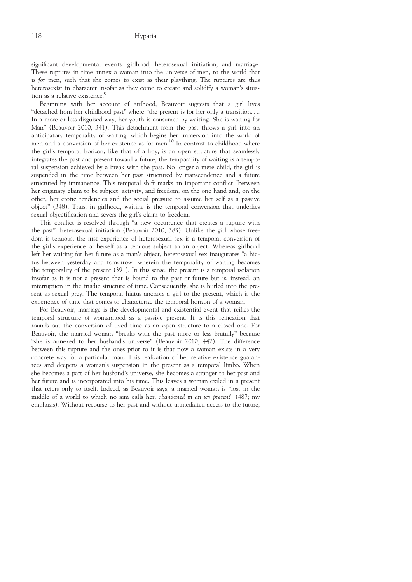significant developmental events: girlhood, heterosexual initiation, and marriage. These ruptures in time annex a woman into the universe of men, to the world that is for men, such that she comes to exist as their plaything. The ruptures are thus heterosexist in character insofar as they come to create and solidify a woman's situation as a relative existence.<sup>9</sup>

Beginning with her account of girlhood, Beauvoir suggests that a girl lives "detached from her childhood past" where "the present is for her only a transition.... In a more or less disguised way, her youth is consumed by waiting. She is waiting for Man" (Beauvoir 2010, 341). This detachment from the past throws a girl into an anticipatory temporality of waiting, which begins her immersion into the world of men and a conversion of her existence as for men.<sup>10</sup> In contrast to childhood where the girl's temporal horizon, like that of a boy, is an open structure that seamlessly integrates the past and present toward a future, the temporality of waiting is a temporal suspension achieved by a break with the past. No longer a mere child, the girl is suspended in the time between her past structured by transcendence and a future structured by immanence. This temporal shift marks an important conflict "between her originary claim to be subject, activity, and freedom, on the one hand and, on the other, her erotic tendencies and the social pressure to assume her self as a passive object" (348). Thus, in girlhood, waiting is the temporal conversion that underlies sexual objectification and severs the girl's claim to freedom.

This conflict is resolved through "a new occurrence that creates a rupture with the past": heterosexual initiation (Beauvoir 2010, 383). Unlike the girl whose freedom is tenuous, the first experience of heterosexual sex is a temporal conversion of the girl's experience of herself as a tenuous subject to an object. Whereas girlhood left her waiting for her future as a man's object, heterosexual sex inaugurates "a hiatus between yesterday and tomorrow" wherein the temporality of waiting becomes the temporality of the present (391). In this sense, the present is a temporal isolation insofar as it is not a present that is bound to the past or future but is, instead, an interruption in the triadic structure of time. Consequently, she is hurled into the present as sexual prey. The temporal hiatus anchors a girl to the present, which is the experience of time that comes to characterize the temporal horizon of a woman.

For Beauvoir, marriage is the developmental and existential event that reifies the temporal structure of womanhood as a passive present. It is this reification that rounds out the conversion of lived time as an open structure to a closed one. For Beauvoir, the married woman "breaks with the past more or less brutally" because "she is annexed to her husband's universe" (Beauvoir 2010, 442). The difference between this rupture and the ones prior to it is that now a woman exists in a very concrete way for a particular man. This realization of her relative existence guarantees and deepens a woman's suspension in the present as a temporal limbo. When she becomes a part of her husband's universe, she becomes a stranger to her past and her future and is incorporated into his time. This leaves a woman exiled in a present that refers only to itself. Indeed, as Beauvoir says, a married woman is "lost in the middle of a world to which no aim calls her, abandoned in an icy present" (487; my emphasis). Without recourse to her past and without unmediated access to the future,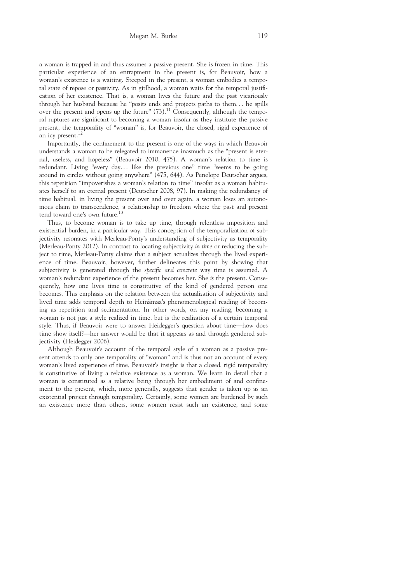a woman is trapped in and thus assumes a passive present. She is frozen in time. This particular experience of an entrapment in the present is, for Beauvoir, how a woman's existence is a waiting. Steeped in the present, a woman embodies a temporal state of repose or passivity. As in girlhood, a woman waits for the temporal justification of her existence. That is, a woman lives the future and the past vicariously through her husband because he "posits ends and projects paths to them... he spills over the present and opens up the future"  $(73)$ .<sup>11</sup> Consequently, although the temporal ruptures are significant to becoming a woman insofar as they institute the passive present, the temporality of "woman" is, for Beauvoir, the closed, rigid experience of an icy present.<sup>12</sup>

Importantly, the confinement to the present is one of the ways in which Beauvoir understands a woman to be relegated to immanence inasmuch as the "present is eternal, useless, and hopeless" (Beauvoir 2010, 475). A woman's relation to time is redundant. Living "every day... like the previous one" time "seems to be going around in circles without going anywhere" (475, 644). As Penelope Deutscher argues, this repetition "impoverishes a woman's relation to time" insofar as a woman habituates herself to an eternal present (Deutscher 2008, 97). In making the redundancy of time habitual, in living the present over and over again, a woman loses an autonomous claim to transcendence, a relationship to freedom where the past and present tend toward one's own future.<sup>13</sup>

Thus, to become woman is to take up time, through relentless imposition and existential burden, in a particular way. This conception of the temporalization of subjectivity resonates with Merleau-Ponty's understanding of subjectivity as temporality (Merleau-Ponty 2012). In contrast to locating subjectivity in time or reducing the subject to time, Merleau-Ponty claims that a subject actualizes through the lived experience of time. Beauvoir, however, further delineates this point by showing that subjectivity is generated through the specific and concrete way time is assumed. A woman's redundant experience of the present becomes her. She is the present. Consequently, how one lives time is constitutive of the kind of gendered person one becomes. This emphasis on the relation between the actualization of subjectivity and lived time adds temporal depth to Heinämaa's phenomenological reading of becoming as repetition and sedimentation. In other words, on my reading, becoming a woman is not just a style realized in time, but is the realization of a certain temporal style. Thus, if Beauvoir were to answer Heidegger's question about time—how does time show itself?—her answer would be that it appears as and through gendered subjectivity (Heidegger 2006).

Although Beauvoir's account of the temporal style of a woman as a passive present attends to only one temporality of "woman" and is thus not an account of every woman's lived experience of time, Beauvoir's insight is that a closed, rigid temporality is constitutive of living a relative existence as a woman. We learn in detail that a woman is constituted as a relative being through her embodiment of and confinement to the present, which, more generally, suggests that gender is taken up as an existential project through temporality. Certainly, some women are burdened by such an existence more than others, some women resist such an existence, and some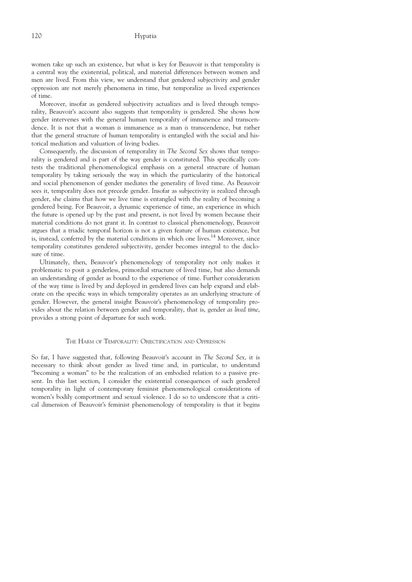women take up such an existence, but what is key for Beauvoir is that temporality is a central way the existential, political, and material differences between women and men are lived. From this view, we understand that gendered subjectivity and gender oppression are not merely phenomena in time, but temporalize as lived experiences of time.

Moreover, insofar as gendered subjectivity actualizes and is lived through temporality, Beauvoir's account also suggests that temporality is gendered. She shows how gender intervenes with the general human temporality of immanence and transcendence. It is not that a woman is immanence as a man is transcendence, but rather that the general structure of human temporality is entangled with the social and historical mediation and valuation of living bodies.

Consequently, the discussion of temporality in The Second Sex shows that temporality is gendered and is part of the way gender is constituted. This specifically contests the traditional phenomenological emphasis on a general structure of human temporality by taking seriously the way in which the particularity of the historical and social phenomenon of gender mediates the generality of lived time. As Beauvoir sees it, temporality does not precede gender. Insofar as subjectivity is realized through gender, she claims that how we live time is entangled with the reality of becoming a gendered being. For Beauvoir, a dynamic experience of time, an experience in which the future is opened up by the past and present, is not lived by women because their material conditions do not grant it. In contrast to classical phenomenology, Beauvoir argues that a triadic temporal horizon is not a given feature of human existence, but is, instead, conferred by the material conditions in which one lives.<sup>14</sup> Moreover, since temporality constitutes gendered subjectivity, gender becomes integral to the disclosure of time.

Ultimately, then, Beauvoir's phenomenology of temporality not only makes it problematic to posit a genderless, primordial structure of lived time, but also demands an understanding of gender as bound to the experience of time. Further consideration of the way time is lived by and deployed in gendered lives can help expand and elaborate on the specific ways in which temporality operates as an underlying structure of gender. However, the general insight Beauvoir's phenomenology of temporality provides about the relation between gender and temporality, that is, gender as lived time, provides a strong point of departure for such work.

## THE HARM OF TEMPORALITY: OBJECTIFICATION AND OPPRESSION

So far, I have suggested that, following Beauvoir's account in The Second Sex, it is necessary to think about gender as lived time and, in particular, to understand "becoming a woman" to be the realization of an embodied relation to a passive present. In this last section, I consider the existential consequences of such gendered temporality in light of contemporary feminist phenomenological considerations of women's bodily comportment and sexual violence. I do so to underscore that a critical dimension of Beauvoir's feminist phenomenology of temporality is that it begins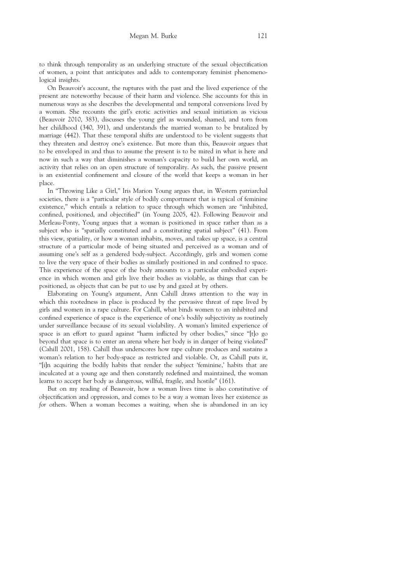to think through temporality as an underlying structure of the sexual objectification of women, a point that anticipates and adds to contemporary feminist phenomenological insights.

On Beauvoir's account, the ruptures with the past and the lived experience of the present are noteworthy because of their harm and violence. She accounts for this in numerous ways as she describes the developmental and temporal conversions lived by a woman. She recounts the girl's erotic activities and sexual initiation as vicious (Beauvoir 2010, 383), discusses the young girl as wounded, shamed, and torn from her childhood (340, 391), and understands the married woman to be brutalized by marriage (442). That these temporal shifts are understood to be violent suggests that they threaten and destroy one's existence. But more than this, Beauvoir argues that to be enveloped in and thus to assume the present is to be mired in what is here and now in such a way that diminishes a woman's capacity to build her own world, an activity that relies on an open structure of temporality. As such, the passive present is an existential confinement and closure of the world that keeps a woman in her place.

In "Throwing Like a Girl," Iris Marion Young argues that, in Western patriarchal societies, there is a "particular style of bodily comportment that is typical of feminine existence," which entails a relation to space through which women are "inhibited, confined, positioned, and objectified" (in Young 2005, 42). Following Beauvoir and Merleau-Ponty, Young argues that a woman is positioned in space rather than as a subject who is "spatially constituted and a constituting spatial subject" (41). From this view, spatiality, or how a woman inhabits, moves, and takes up space, is a central structure of a particular mode of being situated and perceived as a woman and of assuming one's self as a gendered body-subject. Accordingly, girls and women come to live the very space of their bodies as similarly positioned in and confined to space. This experience of the space of the body amounts to a particular embodied experience in which women and girls live their bodies as violable, as things that can be positioned, as objects that can be put to use by and gazed at by others.

Elaborating on Young's argument, Ann Cahill draws attention to the way in which this rootedness in place is produced by the pervasive threat of rape lived by girls and women in a rape culture. For Cahill, what binds women to an inhibited and confined experience of space is the experience of one's bodily subjectivity as routinely under surveillance because of its sexual violability. A woman's limited experience of space is an effort to guard against "harm inflicted by other bodies," since "[t]o go beyond that space is to enter an arena where her body is in danger of being violated" (Cahill 2001, 158). Cahill thus underscores how rape culture produces and sustains a woman's relation to her body-space as restricted and violable. Or, as Cahill puts it, "[i]n acquiring the bodily habits that render the subject 'feminine,' habits that are inculcated at a young age and then constantly redefined and maintained, the woman learns to accept her body as dangerous, willful, fragile, and hostile" (161).

But on my reading of Beauvoir, how a woman lives time is also constitutive of objectification and oppression, and comes to be a way a woman lives her existence as for others. When a woman becomes a waiting, when she is abandoned in an icy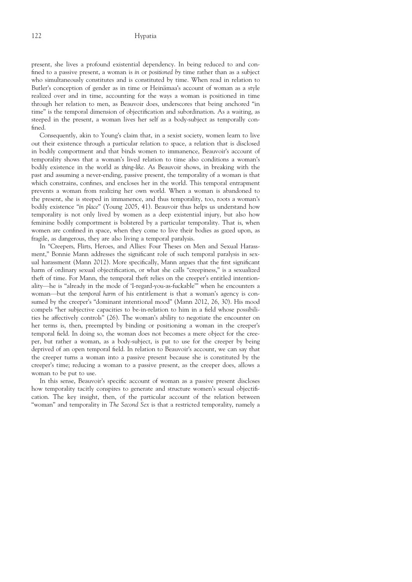present, she lives a profound existential dependency. In being reduced to and confined to a passive present, a woman is in or positioned by time rather than as a subject who simultaneously constitutes and is constituted by time. When read in relation to Butler's conception of gender as in time or Heinämaa's account of woman as a style realized over and in time, accounting for the ways a woman is positioned in time through her relation to men, as Beauvoir does, underscores that being anchored "in time" is the temporal dimension of objectification and subordination. As a waiting, as steeped in the present, a woman lives her self as a body-subject as temporally confined.

Consequently, akin to Young's claim that, in a sexist society, women learn to live out their existence through a particular relation to space, a relation that is disclosed in bodily comportment and that binds women to immanence, Beauvoir's account of temporality shows that a woman's lived relation to time also conditions a woman's bodily existence in the world as thing-like. As Beauvoir shows, in breaking with the past and assuming a never-ending, passive present, the temporality of a woman is that which constrains, confines, and encloses her in the world. This temporal entrapment prevents a woman from realizing her own world. When a woman is abandoned to the present, she is steeped in immanence, and thus temporality, too, roots a woman's bodily existence "in place" (Young 2005, 41). Beauvoir thus helps us understand how temporality is not only lived by women as a deep existential injury, but also how feminine bodily comportment is bolstered by a particular temporality. That is, when women are confined in space, when they come to live their bodies as gazed upon, as fragile, as dangerous, they are also living a temporal paralysis.

In "Creepers, Flirts, Heroes, and Allies: Four Theses on Men and Sexual Harassment," Bonnie Mann addresses the significant role of such temporal paralysis in sexual harassment (Mann 2012). More specifically, Mann argues that the first significant harm of ordinary sexual objectification, or what she calls "creepiness," is a sexualized theft of time. For Mann, the temporal theft relies on the creeper's entitled intentionality—he is "already in the mode of 'I-regard-you-as-fuckable'" when he encounters a woman—but the temporal harm of his entitlement is that a woman's agency is consumed by the creeper's "dominant intentional mood" (Mann 2012, 26, 30). His mood compels "her subjective capacities to be-in-relation to him in a field whose possibilities he affectively controls" (26). The woman's ability to negotiate the encounter on her terms is, then, preempted by binding or positioning a woman in the creeper's temporal field. In doing so, the woman does not becomes a mere object for the creeper, but rather a woman, as a body-subject, is put to use for the creeper by being deprived of an open temporal field. In relation to Beauvoir's account, we can say that the creeper turns a woman into a passive present because she is constituted by the creeper's time; reducing a woman to a passive present, as the creeper does, allows a woman to be put to use.

In this sense, Beauvoir's specific account of woman as a passive present discloses how temporality tacitly conspires to generate and structure women's sexual objectification. The key insight, then, of the particular account of the relation between "woman" and temporality in The Second Sex is that a restricted temporality, namely a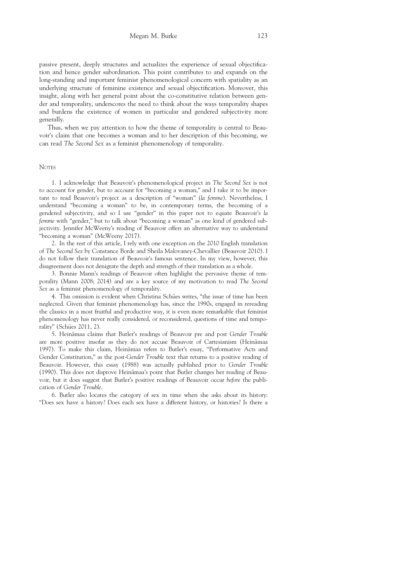passive present, deeply structures and actualizes the experience of sexual objectification and hence gender subordination. This point contributes to and expands on the long-standing and important feminist phenomenological concern with spatiality as an underlying structure of feminine existence and sexual objectification. Moreover, this insight, along with her general point about the co-constitutive relation between gender and temporality, underscores the need to think about the ways temporality shapes and burdens the existence of women in particular and gendered subjectivity more generally.

Thus, when we pay attention to how the theme of temporality is central to Beauvoir's claim that one becomes a woman and to her description of this becoming, we can read The Second Sex as a feminist phenomenology of temporality.

#### **NOTES**

1. I acknowledge that Beauvoir's phenomenological project in The Second Sex is not to account for gender, but to account for "becoming a woman," and I take it to be important to read Beauvoir's project as a description of "woman" (la femme). Nevertheless, I understand "becoming a woman" to be, in contemporary terms, the becoming of a gendered subjectivity, and so I use "gender" in this paper not to equate Beauvoir's la femme with "gender," but to talk about "becoming a woman" as one kind of gendered subjectivity. Jennifer McWeeny's reading of Beauvoir offers an alternative way to understand "becoming a woman" (McWeeny 2017).

2. In the rest of this article, I rely with one exception on the 2010 English translation of The Second Sex by Constance Borde and Sheila Malovaney-Chevallier (Beauvoir 2010). I do not follow their translation of Beauvoir's famous sentence. In my view, however, this disagreement does not denigrate the depth and strength of their translation as a whole.

3. Bonnie Mann's readings of Beauvoir often highlight the pervasive theme of temporality (Mann 2008; 2014) and are a key source of my motivation to read The Second Sex as a feminist phenomenology of temporality.

4. This omission is evident when Christina Schües writes, "the issue of time has been neglected. Given that feminist phenomenology has, since the 1990s, engaged in rereading the classics in a most fruitful and productive way, it is even more remarkable that feminist phenomenology has never really considered, or reconsidered, questions of time and temporality" (Schües 2011, 2).

5. Heinämaa claims that Butler's readings of Beauvoir pre and post Gender Trouble are more positive insofar as they do not accuse Beauvoir of Cartesianism (Heinämaa 1997). To make this claim, Heinämaa refers to Butler's essay, "Performative Acts and Gender Constitution," as the post-Gender Trouble text that returns to a positive reading of Beauvoir. However, this essay (1988) was actually published prior to Gender Trouble (1990). This does not disprove Heinämaa's point that Butler changes her reading of Beauvoir, but it does suggest that Butler's positive readings of Beauvoir occur before the publication of Gender Trouble.

6. Butler also locates the category of sex in time when she asks about its history: "Does sex have a history? Does each sex have a different history, or histories? Is there a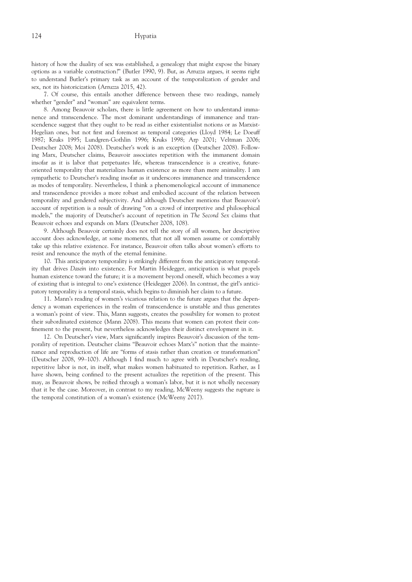history of how the duality of sex was established, a genealogy that might expose the binary options as a variable construction?" (Butler 1990, 9). But, as Arruzza argues, it seems right to understand Butler's primary task as an account of the temporalization of gender and sex, not its historicization (Arruzza 2015, 42).

7. Of course, this entails another difference between these two readings, namely whether "gender" and "woman" are equivalent terms.

8. Among Beauvoir scholars, there is little agreement on how to understand immanence and transcendence. The most dominant understandings of immanence and transcendence suggest that they ought to be read as either existentialist notions or as Marxist-Hegelian ones, but not first and foremost as temporal categories (Lloyd 1984; Le Doeuff 1987; Kruks 1995; Lundgren-Gothlin 1996; Kruks 1998; Arp 2001; Veltman 2006; Deutscher 2008; Moi 2008). Deutscher's work is an exception (Deutscher 2008). Following Marx, Deutscher claims, Beauvoir associates repetition with the immanent domain insofar as it is labor that perpetuates life, whereas transcendence is a creative, futureoriented temporality that materializes human existence as more than mere animality. I am sympathetic to Deutscher's reading insofar as it underscores immanence and transcendence as modes of temporality. Nevertheless, I think a phenomenological account of immanence and transcendence provides a more robust and embodied account of the relation between temporality and gendered subjectivity. And although Deutscher mentions that Beauvoir's account of repetition is a result of drawing "on a crowd of interpretive and philosophical models," the majority of Deutscher's account of repetition in The Second Sex claims that Beauvoir echoes and expands on Marx (Deutscher 2008, 108).

9. Although Beauvoir certainly does not tell the story of all women, her descriptive account does acknowledge, at some moments, that not all women assume or comfortably take up this relative existence. For instance, Beauvoir often talks about women's efforts to resist and renounce the myth of the eternal feminine.

10. This anticipatory temporality is strikingly different from the anticipatory temporality that drives Dasein into existence. For Martin Heidegger, anticipation is what propels human existence toward the future; it is a movement beyond oneself, which becomes a way of existing that is integral to one's existence (Heidegger 2006). In contrast, the girl's anticipatory temporality is a temporal stasis, which begins to diminish her claim to a future.

11. Mann's reading of women's vicarious relation to the future argues that the dependency a woman experiences in the realm of transcendence is unstable and thus generates a woman's point of view. This, Mann suggests, creates the possibility for women to protest their subordinated existence (Mann 2008). This means that women can protest their confinement to the present, but nevertheless acknowledges their distinct envelopment in it.

12. On Deutscher's view, Marx significantly inspires Beauvoir's discussion of the temporality of repetition. Deutscher claims "Beauvoir echoes Marx's" notion that the maintenance and reproduction of life are "forms of stasis rather than creation or transformation" (Deutscher 2008, 99–100). Although I find much to agree with in Deutscher's reading, repetitive labor is not, in itself, what makes women habituated to repetition. Rather, as I have shown, being confined to the present actualizes the repetition of the present. This may, as Beauvoir shows, be reified through a woman's labor, but it is not wholly necessary that it be the case. Moreover, in contrast to my reading, McWeeny suggests the rupture is the temporal constitution of a woman's existence (McWeeny 2017).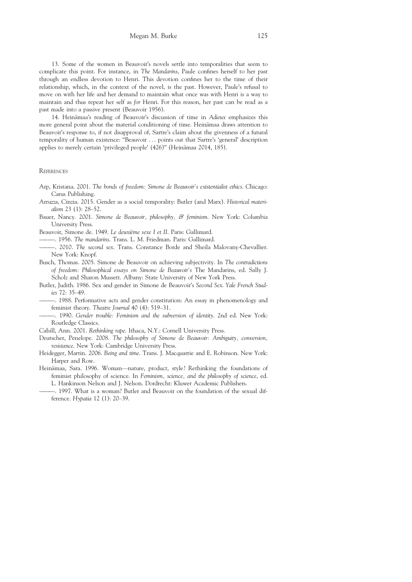13. Some of the women in Beauvoir's novels settle into temporalities that seem to complicate this point. For instance, in The Mandarins, Paule confines herself to her past through an endless devotion to Henri. This devotion confines her to the time of their relationship, which, in the context of the novel, is the past. However, Paule's refusal to move on with her life and her demand to maintain what once was with Henri is a way to maintain and thus repeat her self as for Henri. For this reason, her past can be read as a past made into a passive present (Beauvoir 1956).

14. Heinämaa's reading of Beauvoir's discussion of time in Adieux emphasizes this more general point about the material conditioning of time. Heinämaa draws attention to Beauvoir's response to, if not disapproval of, Sartre's claim about the givenness of a futural temporality of human existence: "Beauvoir ... points out that Sartre's 'general' description applies to merely certain 'privileged people' (426)" (Heinämaa 2014, 185).

#### **REFERENCES**

- Arp, Kristana. 2001. The bonds of freedom: Simone de Beauvoir's existentialist ethics. Chicago: Carus Publishing.
- Arruzza, Cinzia. 2015. Gender as a social temporality: Butler (and Marx). Historical materialism 23 (1): 28–52.
- Bauer, Nancy. 2001. Simone de Beauvoir, philosophy, & feminism. New York: Columbia University Press.
- Beauvoir, Simone de. 1949. Le deuxième sexe I et II. Paris: Gallimard.
- ———. 1956. The mandarins. Trans. L. M. Friedman. Paris: Gallimard.
- ———. 2010. The second sex. Trans. Constance Borde and Sheila Malovany-Chevallier. New York: Knopf.
- Busch, Thomas. 2005. Simone de Beauvoir on achieving subjectivity. In The contradictions of freedom: Philosophical essays on Simone de Beauvoir's The Mandarins, ed. Sally J. Scholz and Sharon Mussett. Albany: State University of New York Press.
- Butler, Judith. 1986. Sex and gender in Simone de Beauvoir's Second Sex. Yale French Studies 72: 35–49.
	- ———. 1988. Performative acts and gender constitution: An essay in phenomenology and feminist theory. Theatre Journal 40 (4): 519–31.
- ———. 1990. Gender trouble: Feminism and the subversion of identity. 2nd ed. New York: Routledge Classics.
- Cahill, Ann. 2001. Rethinking rape. Ithaca, N.Y.: Cornell University Press.
- Deutscher, Penelope. 2008. The philosophy of Simone de Beauvoir: Ambiguity, conversion, resistance. New York: Cambridge University Press.
- Heidegger, Martin. 2006. Being and time. Trans. J. Macquarrie and E. Robinson. New York: Harper and Row.
- Heinämaa, Sara. 1996. Woman—nature, product, style? Rethinking the foundations of feminist philosophy of science. In Feminism, science, and the philosophy of science, ed. L. Hankinson Nelson and J. Nelson. Dordrecht: Kluwer Academic Publishers.
- ———. 1997. What is a woman? Butler and Beauvoir on the foundation of the sexual difference. Hypatia 12 (1): 20–39.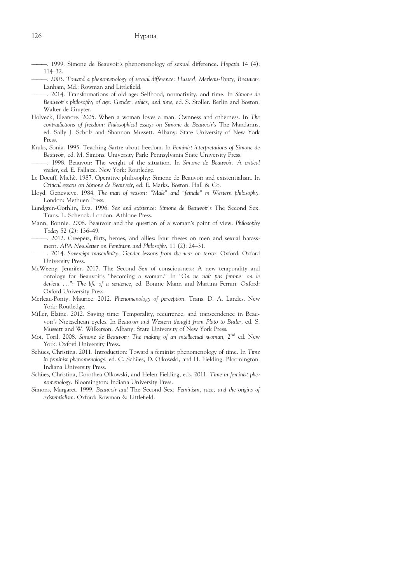- -. 1999. Simone de Beauvoir's phenomenology of sexual difference. Hypatia 14 (4): 114–32.
- ———. 2003. Toward a phenomenology of sexual difference: Husserl, Merleau-Ponty, Beauvoir. Lanham, Md.: Rowman and Littlefield.
- ———. 2014. Transformations of old age: Selfhood, normativity, and time. In Simone de Beauvoir's philosophy of age: Gender, ethics, and time, ed. S. Stoller. Berlin and Boston: Walter de Gruyter.
- Holveck, Eleanore. 2005. When a woman loves a man: Ownness and otherness. In The contradictions of freedom: Philosophical essays on Simone de Beauvoir's The Mandarins, ed. Sally J. Scholz and Shannon Mussett. Albany: State University of New York Press.
- Kruks, Sonia. 1995. Teaching Sartre about freedom. In Feminist interpretations of Simone de Beauvoir, ed. M. Simons. University Park: Pennsylvania State University Press.
- -. 1998. Beauvoir: The weight of the situation. In Simone de Beauvoir: A critical reader, ed. E. Fallaize. New York: Routledge.
- Le Doeuff, Michè. 1987. Operative philosophy: Simone de Beauvoir and existentialism. In Critical essays on Simone de Beauvoir, ed. E. Marks. Boston: Hall & Co.
- Lloyd, Genevieve. 1984. The man of reason: "Male" and "female" in Western philosophy. London: Methuen Press.
- Lundgren-Gothlin, Eva. 1996. Sex and existence: Simone de Beauvoir's The Second Sex. Trans. L. Schenck. London: Athlone Press.
- Mann, Bonnie. 2008. Beauvoir and the question of a woman's point of view. Philosophy Today 52 (2): 136–49.
- ———. 2012. Creepers, flirts, heroes, and allies: Four theses on men and sexual harassment. APA Newsletter on Feminism and Philosophy 11 (2): 24–31.
- ———. 2014. Sovereign masculinity: Gender lessons from the war on terror. Oxford: Oxford University Press.
- McWeeny, Jennifer. 2017. The Second Sex of consciousness: A new temporality and ontology for Beauvoir's "becoming a woman." In "On ne na^ıt pas femme: on le devient ...": The life of a sentence, ed. Bonnie Mann and Martina Ferrari. Oxford: Oxford University Press.
- Merleau-Ponty, Maurice. 2012. Phenomenology of perception. Trans. D. A. Landes. New York: Routledge.
- Miller, Elaine. 2012. Saving time: Temporality, recurrence, and transcendence in Beauvoir's Nietzschean cycles. In Beauvoir and Western thought from Plato to Butler, ed. S. Mussett and W. Wilkerson. Albany: State University of New York Press.
- Moi, Toril. 2008. Simone de Beauvoir: The making of an intellectual woman, 2<sup>nd</sup> ed. New York: Oxford University Press.
- Schües, Christina. 2011. Introduction: Toward a feminist phenomenology of time. In Time in feminist phenomenology, ed. C. Schües, D. Olkowski, and H. Fielding. Bloomington: Indiana University Press.
- Schües, Christina, Dorothea Olkowski, and Helen Fielding, eds. 2011. Time in feminist phenomenology. Bloomington: Indiana University Press.
- Simons, Margaret. 1999. Beauvoir and The Second Sex: Feminism, race, and the origins of existentialism. Oxford: Rowman & Littlefield.